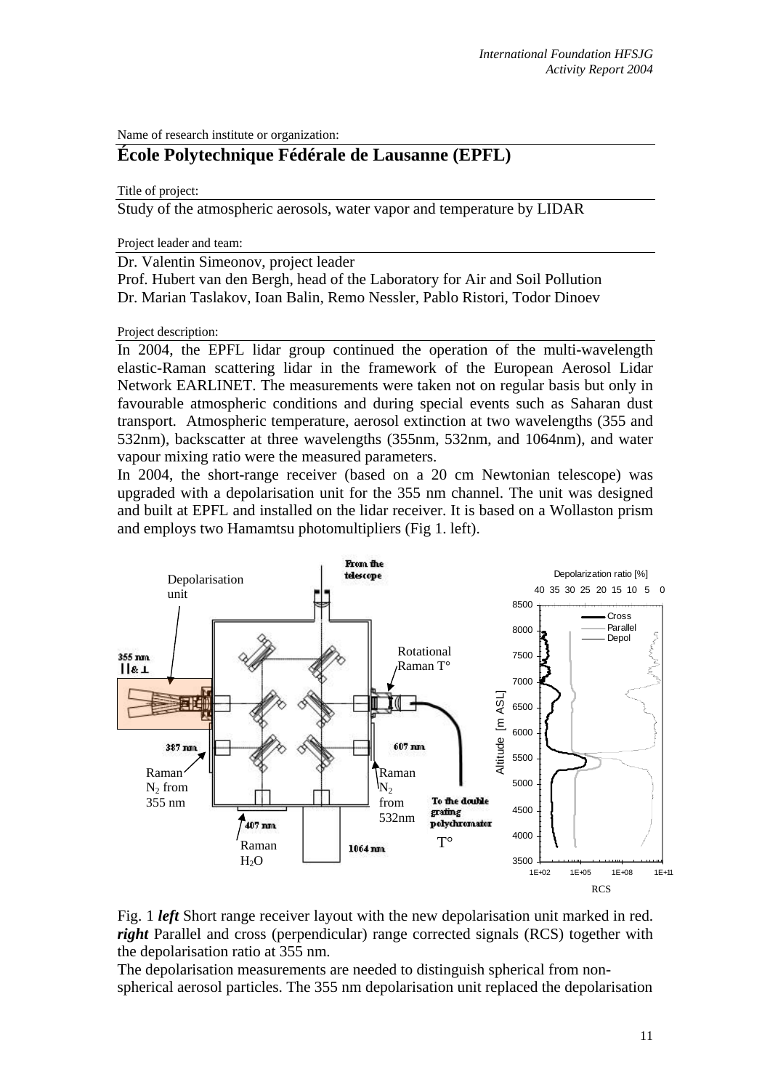Name of research institute or organization:

# **École Polytechnique Fédérale de Lausanne (EPFL)**

Title of project:

Study of the atmospheric aerosols, water vapor and temperature by LIDAR

Project leader and team:

Dr. Valentin Simeonov, project leader

Prof. Hubert van den Bergh, head of the Laboratory for Air and Soil Pollution Dr. Marian Taslakov, Ioan Balin, Remo Nessler, Pablo Ristori, Todor Dinoev

Project description:

In 2004, the EPFL lidar group continued the operation of the multi-wavelength elastic-Raman scattering lidar in the framework of the European Aerosol Lidar Network EARLINET. The measurements were taken not on regular basis but only in favourable atmospheric conditions and during special events such as Saharan dust transport. Atmospheric temperature, aerosol extinction at two wavelengths (355 and 532nm), backscatter at three wavelengths (355nm, 532nm, and 1064nm), and water vapour mixing ratio were the measured parameters.

In 2004, the short-range receiver (based on a 20 cm Newtonian telescope) was upgraded with a depolarisation unit for the 355 nm channel. The unit was designed and built at EPFL and installed on the lidar receiver. It is based on a Wollaston prism and employs two Hamamtsu photomultipliers (Fig 1. left).





The depolarisation measurements are needed to distinguish spherical from nonspherical aerosol particles. The 355 nm depolarisation unit replaced the depolarisation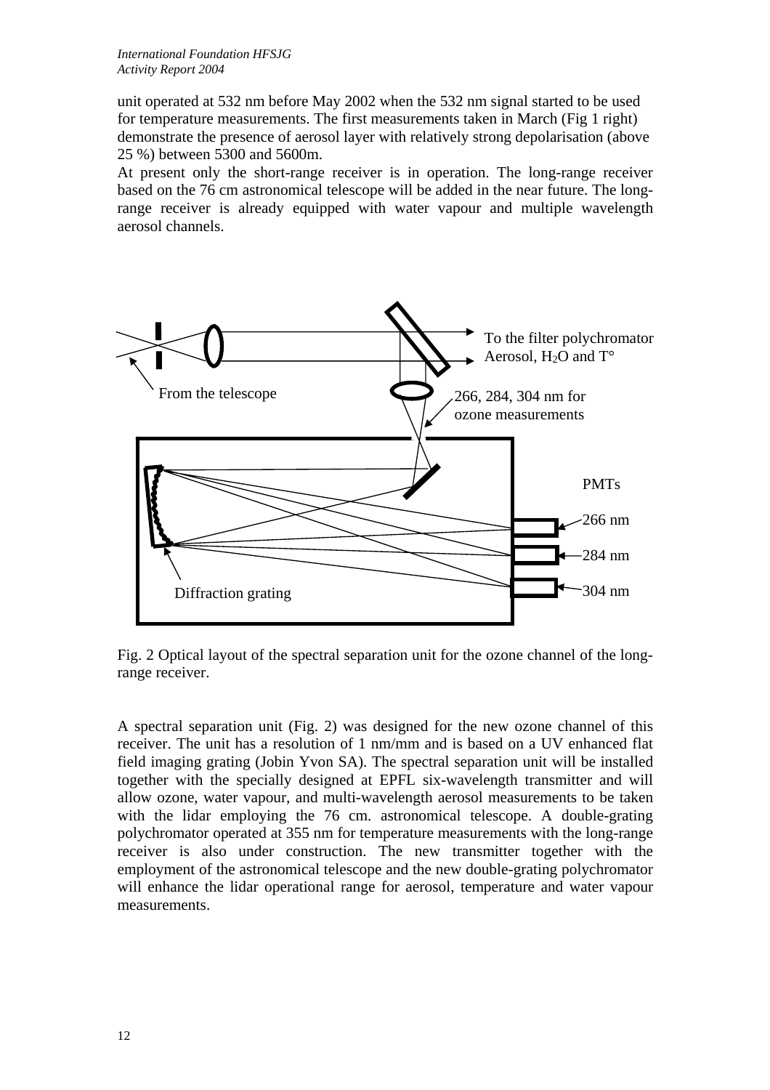unit operated at 532 nm before May 2002 when the 532 nm signal started to be used for temperature measurements. The first measurements taken in March (Fig 1 right) demonstrate the presence of aerosol layer with relatively strong depolarisation (above 25 %) between 5300 and 5600m.

At present only the short-range receiver is in operation. The long-range receiver based on the 76 cm astronomical telescope will be added in the near future. The longrange receiver is already equipped with water vapour and multiple wavelength aerosol channels.



Fig. 2 Optical layout of the spectral separation unit for the ozone channel of the longrange receiver.

A spectral separation unit (Fig. 2) was designed for the new ozone channel of this receiver. The unit has a resolution of 1 nm/mm and is based on a UV enhanced flat field imaging grating (Jobin Yvon SA). The spectral separation unit will be installed together with the specially designed at EPFL six-wavelength transmitter and will allow ozone, water vapour, and multi-wavelength aerosol measurements to be taken with the lidar employing the 76 cm. astronomical telescope. A double-grating polychromator operated at 355 nm for temperature measurements with the long-range receiver is also under construction. The new transmitter together with the employment of the astronomical telescope and the new double-grating polychromator will enhance the lidar operational range for aerosol, temperature and water vapour measurements.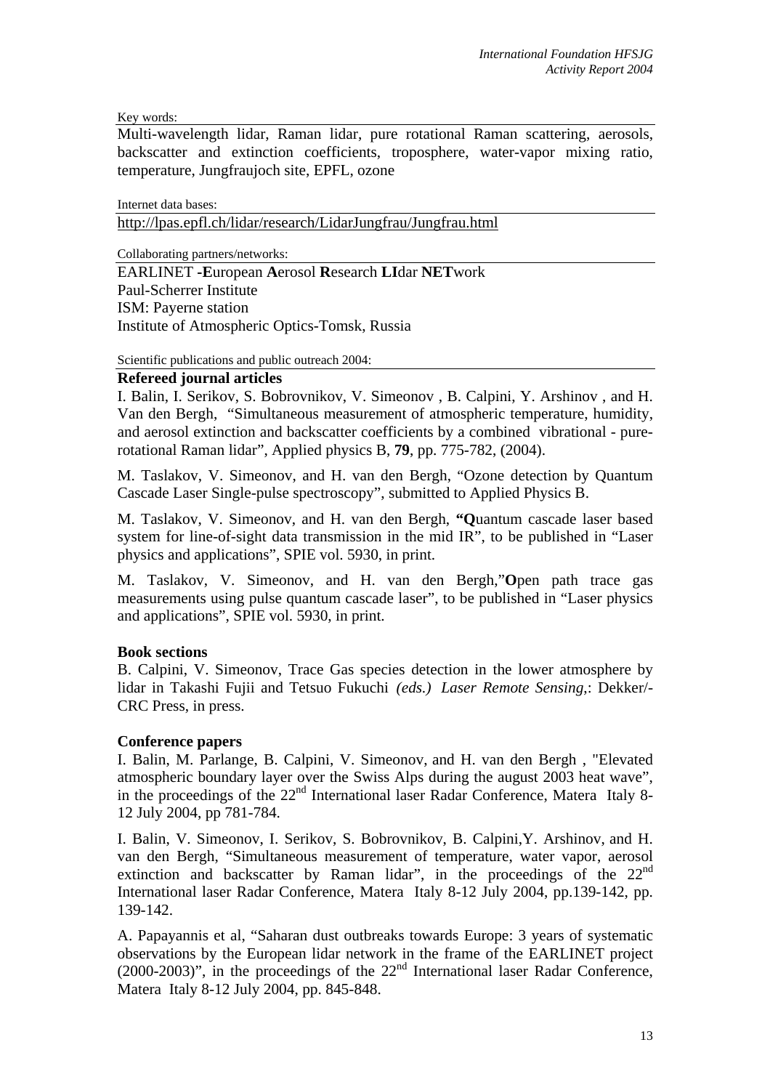Key words:

Multi-wavelength lidar, Raman lidar, pure rotational Raman scattering, aerosols, backscatter and extinction coefficients, troposphere, water-vapor mixing ratio, temperature, Jungfraujoch site, EPFL, ozone

Internet data bases:

[http://lpas.epfl.ch/lidar/research/LidarJungfrau/Jungfrau.html](http://kspc4.unibe.ch/nm)

Collaborating partners/networks:

EARLINET **-E**uropean **A**erosol **R**esearch **LI**dar **NET**work Paul-Scherrer Institute ISM: Payerne station Institute of Atmospheric Optics-Tomsk, Russia

Scientific publications and public outreach 2004:

## **Refereed journal articles**

I. Balin, I. Serikov, S. Bobrovnikov, V. Simeonov , B. Calpini, Y. Arshinov , and H. Van den Bergh, "Simultaneous measurement of atmospheric temperature, humidity, and aerosol extinction and backscatter coefficients by a combined vibrational - purerotational Raman lidar", Applied physics B, **79**, pp. 775-782, (2004).

M. Taslakov, V. Simeonov, and H. van den Bergh, "Ozone detection by Quantum Cascade Laser Single-pulse spectroscopy", submitted to Applied Physics B.

M. Taslakov, V. Simeonov, and H. van den Bergh, **"Q**uantum cascade laser based system for line-of-sight data transmission in the mid IR", to be published in "Laser physics and applications", SPIE vol. 5930, in print.

M. Taslakov, V. Simeonov, and H. van den Bergh,"**O**pen path trace gas measurements using pulse quantum cascade laser", to be published in "Laser physics and applications", SPIE vol. 5930, in print.

### **Book sections**

B. Calpini, V. Simeonov, Trace Gas species detection in the lower atmosphere by lidar in Takashi Fujii and Tetsuo Fukuchi *(eds.) Laser Remote Sensing*,: Dekker/- CRC Press, in press.

### **Conference papers**

I. Balin, M. Parlange, B. Calpini, V. Simeonov, and H. van den Bergh , "Elevated atmospheric boundary layer over the Swiss Alps during the august 2003 heat wave", in the proceedings of the 22nd International laser Radar Conference, Matera Italy 8- 12 July 2004, pp 781-784.

I. Balin, V. Simeonov, I. Serikov, S. Bobrovnikov, B. Calpini,Y. Arshinov, and H. van den Bergh, "Simultaneous measurement of temperature, water vapor, aerosol extinction and backscatter by Raman lidar", in the proceedings of the  $22<sup>nd</sup>$ International laser Radar Conference, Matera Italy 8-12 July 2004, pp.139-142, pp. 139-142.

A. Papayannis et al, "Saharan dust outbreaks towards Europe: 3 years of systematic observations by the European lidar network in the frame of the EARLINET project  $(2000-2003)$ ", in the proceedings of the  $22<sup>nd</sup>$  International laser Radar Conference, Matera Italy 8-12 July 2004, pp. 845-848.